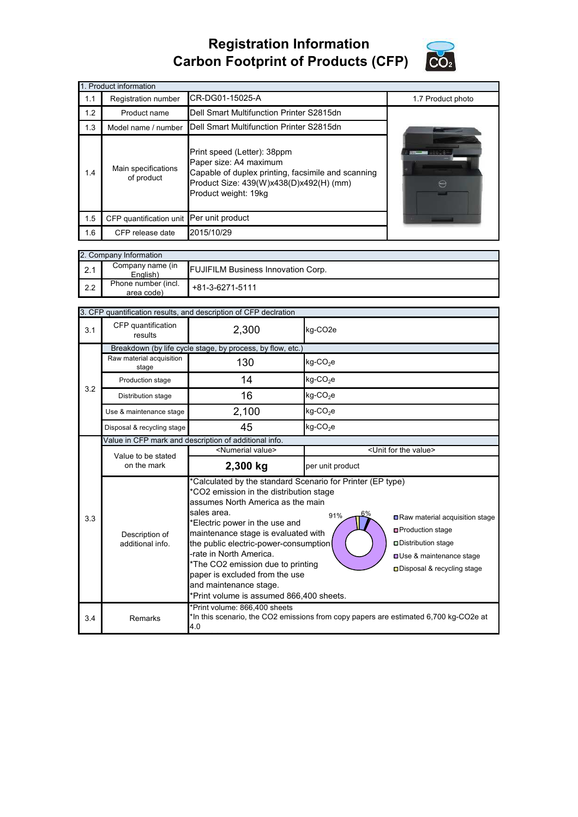## **Registration Information Carbon Footprint of Products (CFP)**



|     | 1. Product information                   |                                                                                                                                                                                |                   |
|-----|------------------------------------------|--------------------------------------------------------------------------------------------------------------------------------------------------------------------------------|-------------------|
| 1.1 | Registration number                      | CR-DG01-15025-A                                                                                                                                                                | 1.7 Product photo |
| 1.2 | Product name                             | Dell Smart Multifunction Printer S2815dn                                                                                                                                       |                   |
| 1.3 | Model name / number                      | Dell Smart Multifunction Printer S2815dn                                                                                                                                       |                   |
| 1.4 | Main specifications<br>of product        | Print speed (Letter): 38ppm<br>Paper size: A4 maximum<br>Capable of duplex printing, facsimile and scanning<br>Product Size: 439(W)x438(D)x492(H) (mm)<br>Product weight: 19kg | $\leftarrow$      |
| 1.5 | CFP quantification unit Per unit product |                                                                                                                                                                                |                   |
| 1.6 | CFP release date                         | 2015/10/29                                                                                                                                                                     |                   |

|     | 2. Company Information            |                                           |  |  |  |  |
|-----|-----------------------------------|-------------------------------------------|--|--|--|--|
| 2.1 | Company name (in<br>English)      | <b>FUJIFILM Business Innovation Corp.</b> |  |  |  |  |
| 2.2 | Phone number (incl.<br>area code) | $+81-3-6271-5111$                         |  |  |  |  |

| 3. CFP quantification results, and description of CFP declration |                                                            |                                                                                                                                                                                                                                                                                                                                                                                                                                                                                                                                                                                                                                |                                      |  |  |
|------------------------------------------------------------------|------------------------------------------------------------|--------------------------------------------------------------------------------------------------------------------------------------------------------------------------------------------------------------------------------------------------------------------------------------------------------------------------------------------------------------------------------------------------------------------------------------------------------------------------------------------------------------------------------------------------------------------------------------------------------------------------------|--------------------------------------|--|--|
| 3.1                                                              | CFP quantification<br>results                              | 2,300                                                                                                                                                                                                                                                                                                                                                                                                                                                                                                                                                                                                                          | kg-CO <sub>2</sub> e                 |  |  |
|                                                                  | Breakdown (by life cycle stage, by process, by flow, etc.) |                                                                                                                                                                                                                                                                                                                                                                                                                                                                                                                                                                                                                                |                                      |  |  |
|                                                                  | Raw material acquisition<br>stage                          | 130                                                                                                                                                                                                                                                                                                                                                                                                                                                                                                                                                                                                                            | kg-CO <sub>2</sub> e                 |  |  |
| 3.2                                                              | Production stage                                           | 14                                                                                                                                                                                                                                                                                                                                                                                                                                                                                                                                                                                                                             | kg-CO <sub>2</sub> e                 |  |  |
|                                                                  | Distribution stage                                         | 16                                                                                                                                                                                                                                                                                                                                                                                                                                                                                                                                                                                                                             | $kg$ -CO <sub>2</sub> e              |  |  |
|                                                                  | Use & maintenance stage                                    | 2,100                                                                                                                                                                                                                                                                                                                                                                                                                                                                                                                                                                                                                          | kg-CO <sub>2</sub> e                 |  |  |
|                                                                  | Disposal & recycling stage                                 | 45                                                                                                                                                                                                                                                                                                                                                                                                                                                                                                                                                                                                                             | kg-CO <sub>2</sub> e                 |  |  |
|                                                                  | Value in CFP mark and description of additional info.      |                                                                                                                                                                                                                                                                                                                                                                                                                                                                                                                                                                                                                                |                                      |  |  |
|                                                                  | Value to be stated<br>on the mark                          | <numerial value=""></numerial>                                                                                                                                                                                                                                                                                                                                                                                                                                                                                                                                                                                                 | <unit for="" the="" value=""></unit> |  |  |
|                                                                  |                                                            | 2,300 kg                                                                                                                                                                                                                                                                                                                                                                                                                                                                                                                                                                                                                       | per unit product                     |  |  |
| 3.3                                                              | Description of<br>additional info                          | *Calculated by the standard Scenario for Printer (EP type)<br>*CO2 emission in the distribution stage<br>assumes North America as the main<br>sales area.<br>6%<br>91%<br>Raw material acquisition stage<br>*Electric power in the use and<br><b>□</b> Production stage<br>maintenance stage is evaluated with<br>the public electric-power-consumption<br>□ Distribution stage<br>-rate in North America.<br><b>OUse &amp; maintenance stage</b><br>*The CO2 emission due to printing<br>□ Disposal & recycling stage<br>paper is excluded from the use<br>and maintenance stage.<br>*Print volume is assumed 866,400 sheets. |                                      |  |  |
| 3.4                                                              | Remarks                                                    | *Print volume: 866,400 sheets<br>*In this scenario, the CO2 emissions from copy papers are estimated 6,700 kg-CO2e at<br>4.0                                                                                                                                                                                                                                                                                                                                                                                                                                                                                                   |                                      |  |  |